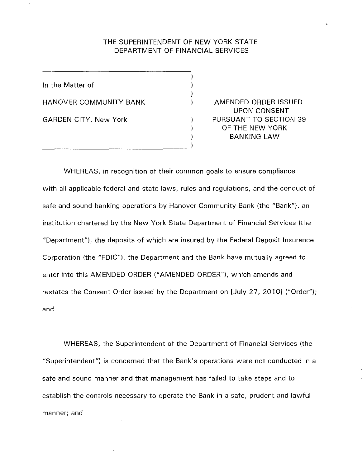# THE SUPERINTENDENT OF NEW YORK STATE DEPARTMENT OF FINANCIAL SERVICES

 $\lambda$ 1  $\mathcal{E}$  $\mathcal{E}$ 

> ) 1 )

In the Matter of HANOVER COMMUNITY BANK GARDEN CITY, New York

AMENDED ORDER ISSUED UPON CONSENT PURSUANT TO SECTION 39 OF THE NEW YORK BANKING LAW

WHEREAS, in recognition of their common goals to ensure compliance with all applicable federal and state laws, rules and regulations, and the conduct of safe and sound banking operations by Hanover Community Bank (the "Bank"), an institution chartered by the New York State Department of Financial Services (the "Department"), the deposits of which are insured by the Federal Deposit Insurance Corporation (the "FDIC"), the Department and the Bank have mutually agreed to enter into this AMENDED ORDER ("AMENDED ORDER"), which amends and restates the Consent Order issued by the Department on [July 27, 2010] ("Order"); and

WHEREAS, the Superintendent of the Department of Financial Services (the "Superintendent") is concerned that the Bank's operations were not conducted in a safe and sound manner and that management has failed to take steps and to establish the controls necessary to operate the Bank in a safe, prudent and lawful manner; and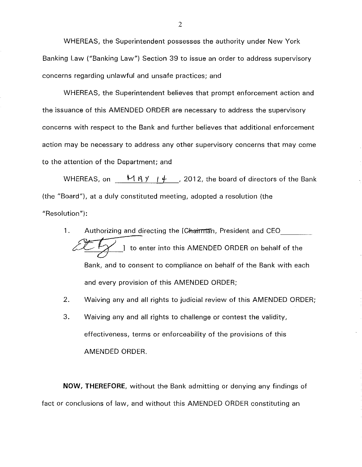WHEREAS, the Superintendent possesses the authority under New York Banking Law ("Banking Law") Section 39 to issue an order to address supervisory concerns regarding unlawful and unsafe practices; and

WHEREAS, the Superintendent believes that prompt enforcement action and the issuance of this AMENDED ORDER are necessary to address the supervisory concerns with respect to the Bank and further believes that additional enforcement action may be necessary to address any other supervisory concerns that may come to the attention of the Department; and

WHEREAS, on  $\underline{\hspace{1cm}}\mathcal{M}$   $\beta$   $\gamma$   $\rightarrow$   $\underline{\hspace{1cm}}$ , 2012, the board of directors of the Bank (the "Board"), at a duly constituted meeting, adopted a resolution (the "Resolution"):

- 1. Authorizing and directing the [Chairman, President and CEO <sup>1</sup>/ 1 to enter into this AMENDED ORDER on behalf of the Bank, and to consent to compliance on behalf of the Bank with each and every provision of this AMENDED ORDER;
- 2. Waiving any and all rights to judicial review of this AMENDED ORDER;
- 3. Waiving any and all rights to challenge or contest the validity, effectiveness, terms or enforceability of the provisions of this AMENDED ORDER.

**NOW, THEREFORE,** without the Bank admitting or denying any findings of fact or conclusions of law, and without this AMENDED ORDER constituting an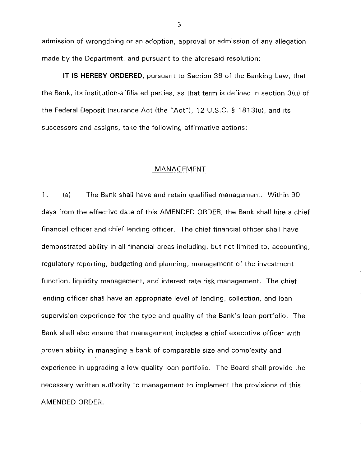admission of wrongdoing or an adoption, approval or admission of any allegation made by the Department, and pursuant to the aforesaid resolution:

IT IS **HEREBY ORDERED,** pursuant to Section 39 of the Banking Law, that the Bank, its institution-affiliated parties, as that term is defined in section 3(u) of the Federal Deposit Insurance Act (the "Act"), 12 U.S.C. § 1813(u), and its successors and assigns, take the following affirmative actions:

### MANAGEMENT

1. (a) The Bank shall have and retain qualified management. Within 90 days from the effective date of this AMENDED ORDER, the Bank shall hire a chief financial officer and chief lending officer. The chief financial officer shall have demonstrated ability in all financial areas including, but not limited to, accounting, regulatory reporting, budgeting and planning, management of the investment function, liquidity management, and interest rate risk management. The chief lending officer shall have an appropriate level of lending, collection, and loan supervision experience for the type and quality of the Bank's loan portfolio. The Bank shall also ensure that management includes a chief executive officer with proven ability in managing a bank of comparable size and complexity and experience in upgrading a low quality loan portfolio. The Board shall provide the necessary written authority to management to implement the provisions of this AMENDED ORDER.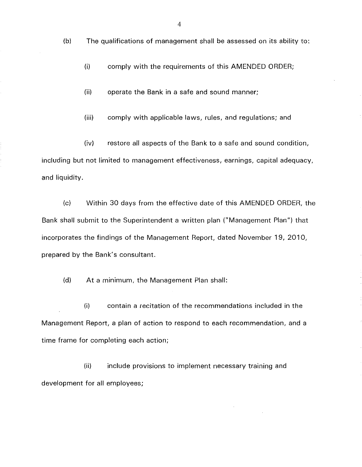(b) The qualifications of management shall be assessed on its ability to:

(i) comply with the requirements of this AMENDED ORDER;

(ii) operate the Bank in a safe and sound manner;

(iii) comply with applicable laws, rules, and regulations; and

(iv) restore all aspects of the Bank to a safe and sound condition, including but not limited to management effectiveness, earnings, capital adequacy, and liquidity.

(c) Within 30 days from the effective date of this AMENDED ORDER, the Bank shall submit to the Superintendent a written plan ("Management Plan") that incorporates the findings of the Management Report, dated November 19, 2010, prepared by the Bank's consultant.

(d) At a minimum, the Management Plan shall:

(i) contain a recitation of the recommendations included in the Management Report, a plan of action to respond to each recommendation, and a time frame for completing each action;

(ii) include provisions to implement necessary training and development for all employees;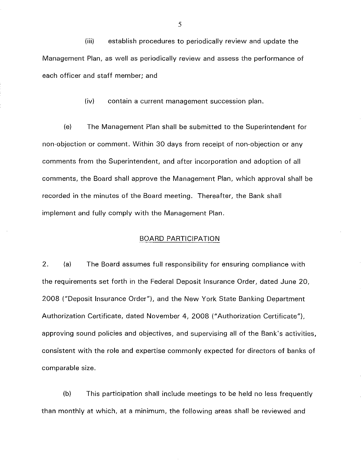**(iii)** establish procedures to periodically review and update the Management Plan, as well as periodically review and assess the performance of each officer and staff member; and

(iv) contain a current management succession plan.

(e) The Management Plan shall be submitted to the Superintendent for non-objection or comment. Within 30 days from receipt of non-objection or any comments from the Superintendent, and after incorporation and adoption of all comments, the Board shall approve the Management Plan, which approval shall be recorded in the minutes of the Board meeting. Thereafter, the Bank shall implement and fully comply with the Management Plan.

## BOARD PARTICIPATION

2. (a) The Board assumes full responsibility for ensuring compliance with the requirements set forth in the Federal Deposit Insurance Order, dated June 20, 2008 ("Deposit Insurance Order"), and the New York State Banking Department Authorization Certificate, dated November 4, 2008 ("Authorization Certificate"), approving sound policies and objectives, and supervising all of the Bank's activities, consistent with the role and expertise commonly expected for directors of banks of comparable size.

(b) This participation shall include meetings to be held no less frequently than monthly at which, at a minimum, the following areas shall be reviewed and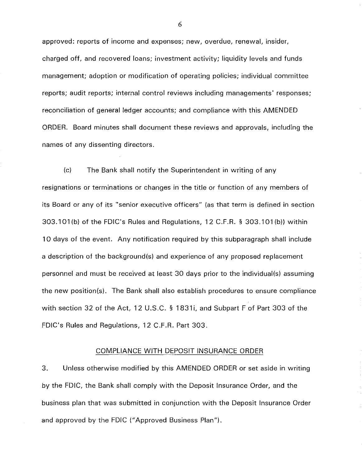approved: reports of income and expenses; new, overdue, renewal, insider, charged off, and recovered loans; investment activity; liquidity levels and funds management; adoption or modification of operating policies; individual committee reports; audit reports; internal control reviews including managements' responses; reconciliation of general ledger accounts; and compliance with this AMENDED ORDER. Board minutes shall document these reviews and approvals, including the names of any dissenting directors.

(c) The Bank shall notify the Superintendent in writing of any resignations or terminations or changes in the title or function of any members of its Board or any of its "senior executive officers" (as that term is defined in section 303.101 (b) of the FDIC's Rules and Regulations, 12 C.F.R. § 303.101 (b)) within 10 days of the event. Any notification required by this subparagraph shall include a description of the background(s) and experience of any proposed replacement personnel and must be received at least 30 days prior to the individual(s) assuming the new position(s). The Bank shall also establish procedures to ensure compliance with section 32 of the Act, 12 U.S.C. § 1831 i, and Subpart F of Part 303 of the FDIC's Rules and Regulations, 12 C.F.R. Part 303.

### COMPLIANCE WITH DEPOSIT INSURANCE ORDER

3. Unless otherwise modified by this AMENDED ORDER or set aside in writing by the FDIC, the Bank shall comply with the Deposit Insurance Order, and the business plan that was submitted in conjunction with the Deposit Insurance Order and approved by the FDIC ("Approved Business Plan").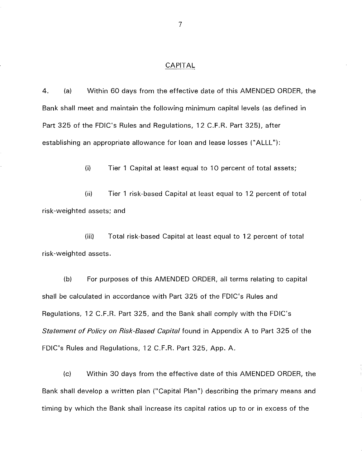## CAPITAL

4. (a) Within 60 days from the effective date of this AMENDED ORDER, the Bank shall meet and maintain the following minimum capital levels (as defined in Part 325 of the FDIC's Rules and Regulations, 12 C.F.R. Part 325), after establishing an appropriate allowance for loan and lease losses ("ALLL"):

(i) Tier 1 Capital at least equal to 10 percent of total assets;

(ii) Tier 1 risk-based Capital at least equal to 12 percent of total risk-weighted assets; and

(iii) Total risk-based Capital at least equal to 12 percent of total risk-weighted assets.

(b) For purposes of this AMENDED ORDER, all terms relating to capital shall be calculated in accordance with Part 325 of the FDIC's Rules and Regulations, 12 C.F.R. Part 325, and the Bank shall comply with the FDIC's *Statement of Policy on Risk-Based Capital* found in Appendix A to Part 325 of the FDIC's Rules and Regulations, 12 C.F.R. Part 325, App. A.

(c) Within 30 days from the effective date of this AMENDED ORDER, the Bank shall develop a written plan ("Capital Plan") describing the primary means and timing by which the Bank shall increase its capital ratios up to or in excess of the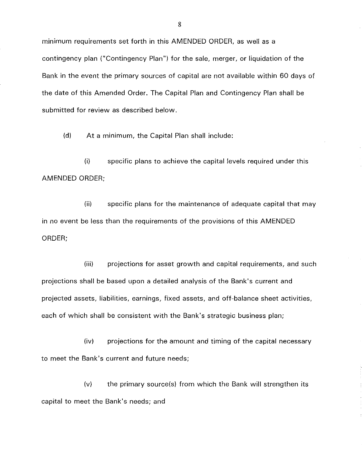minimum requirements set forth in this AMENDED ORDER, as well as a contingency plan ("Contingency Plan") for the sale, merger, or liquidation of the Bank in the event the primary sources of capital are not available within 60 days of the date of this Amended Order. The Capital Plan and Contingency Plan shall be submitted for review as described below.

(d) At a minimum, the Capital Plan shall include:

(i) specific plans to achieve the capital levels required under this AMENDED ORDER;

(ii) specific plans for the maintenance of adequate capital that may in no event be less than the requirements of the provisions of this AMENDED ORDER;

(iii) projections for asset growth and capital requirements, and such projections shall be based upon a detailed analysis of the Bank's current and projected assets, liabilities, earnings, fixed assets, and off-balance sheet activities, each of which shall be consistent with the Bank's strategic business plan;

(iv) projections for the amount and timing of the capital necessary to meet the Bank's current and future needs;

(v) the primary source(s) from which the Bank will strengthen its capital to meet the Bank's needs; and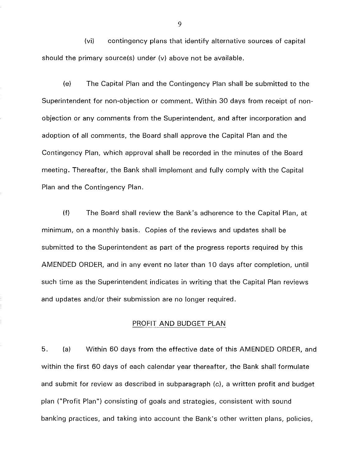(vi) contingency plans that identify alternative sources of capital should the primary source(s) under (v) above not be available.

(e) The Capital Plan and the Contingency Plan shall be submitted to the Superintendent for non-objection or comment. Within 30 days from receipt of nonobjection or any comments from the Superintendent, and after incorporation and adoption of all comments, the Board shall approve the Capital Plan and the Contingency Plan, which approval shall be recorded in the minutes of the Board meeting. Thereafter, the Bank shall implement and fully comply with the Capital Plan and the Contingency Plan.

(f) The Board shall review the Bank's adherence to the Capital Plan, at minimum, on a monthly basis. Copies of the reviews and updates shall be submitted to the Superintendent as part of the progress reports required by this AMENDED ORDER, and in any event no later than 10 days after completion, until such time as the Superintendent indicates in writing that the Capital Plan reviews and updates and/or their submission are no longer required.

### PROFIT AND BUDGET PLAN

5. (a) Within 60 days from the effective date of this AMENDED ORDER, and within the first 60 days of each calendar year thereafter, the Bank shall formulate and submit for review as described in subparagraph (c), a written profit and budget plan ("Profit Plan") consisting of goals and strategies, consistent with sound banking practices, and taking into account the Bank's other written plans, policies,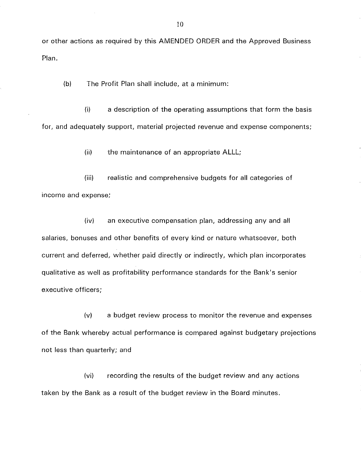or other actions as required by this AMENDED ORDER and the Approved Business Plan.

(b) The Profit Plan shall include, at a minimum:

(i) a description of the operating assumptions that form the basis for, and adequately support, material projected revenue and expense components;

(ii) the maintenance of an appropriate ALLL;

(iii) realistic and comprehensive budgets for all categories of income and expense;

(iv) an executive compensation plan, addressing any and all salaries, bonuses and other benefits of every kind or nature whatsoever, both current and deferred, whether paid directly or indirectly, which plan incorporates qualitative as well as profitability performance standards for the Bank's senior executive officers;

(v) a budget review process to monitor the revenue and expenses of the Bank whereby actual performance is compared against budgetary projections not less than quarterly; and

(vi) recording the results of the budget review and any actions taken by the Bank as a result of the budget review in the Board minutes.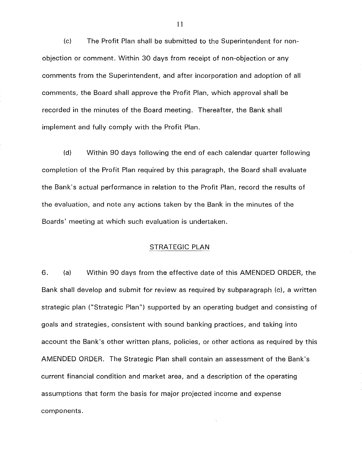(c) The Profit Plan shall be submitted to the Superintendent for nonobjection or comment. Within 30 days from receipt of non-objection or any comments from the Superintendent, and after incorporation and adoption of all comments, the Board shall approve the Profit Plan, which approval shall be recorded in the minutes of the Board meeting. Thereafter, the Bank shall implement and fully comply with the Profit Plan.

(d) Within 90 days following the end of each calendar quarter following completion of the Profit Plan required by this paragraph, the Board shall evaluate the Bank's actual performance in relation to the Profit Plan, record the results of the evaluation, and note any actions taken by the Bank in the minutes of the Boards' meeting at which such evaluation is undertaken.

### STRATEGIC PLAN

6. (a) Within 90 days from the effective date of this AMENDED ORDER, the Bank shall develop and submit for review as required by subparagraph (c), a written strategic plan ("Strategic Plan") supported by an operating budget and consisting of goals and strategies, consistent with sound banking practices, and taking into account the Bank's other written plans, policies, or other actions as required by this AMENDED ORDER. The Strategic Plan shall contain an assessment of the Bank's current financial condition and market area, and a description of the operating assumptions that form the basis for major projected income and expense components.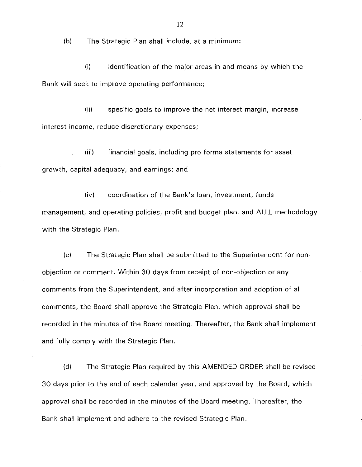(b) The Strategic Plan shall include, at a minimum:

 $(i)$  identification of the major areas in and means by which the Bank will seek to improve operating performance;

(ii) specific goals to improve the net interest margin, increase interest income, reduce discretionary expenses;

(iii) financial goals, including pro forma statements for asset growth, capital adequacy, and earnings; and

(iv) coordination of the Bank's loan, investment, funds management, and operating policies, profit and budget plan, and ALLL methodology with the Strategic Plan.

(c) The Strategic Plan shall be submitted to the Superintendent for nonobjection or comment. Within 30 days from receipt of non-objection or any comments from the Superintendent, and after incorporation and adoption of all comments, the Board shall approve the Strategic Plan, which approval shall be recorded in the minutes of the Board meeting. Thereafter, the Bank shall implement and fully comply with the Strategic Plan.

(d) The Strategic Plan required by this AMENDED ORDER shall be revised 30 days prior to the end of each calendar year, and approved by the Board, which approval shall be recorded in the minutes of the Board meeting. Thereafter, the Bank shall implement and adhere to the revised Strategic Plan.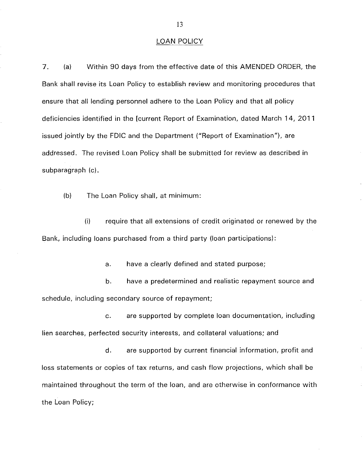#### LOAN POLICY

7. (a) Within 90 days from the effective date of this AMENDED ORDER, the Bank shall revise its Loan Policy to establish review and monitoring procedures that ensure that all lending personnel adhere to the Loan Policy and that all policy deficiencies identified in the [current Report of Examination, dated March 14, 2011 issued jointly by the FDIC and the Department ("Report of Examination"), are addressed. The revised Loan Policy shall be submitted for review as described in subparagraph (c).

(b) The Loan Policy shall, at minimum:

(i) require that all extensions of credit originated or renewed by the Bank, including loans purchased from a third party (loan participations):

a. have a clearly defined and stated purpose;

b. have a predetermined and realistic repayment source and schedule, including secondary source of repayment;

c. are supported by complete loan documentation, including lien searches, perfected security interests, and collateral valuations; and

d. are supported by current financial information, profit and loss statements or copies of tax returns, and cash flow projections, which shall be maintained throughout the term of the loan, and are otherwise in conformance with the Loan Policy;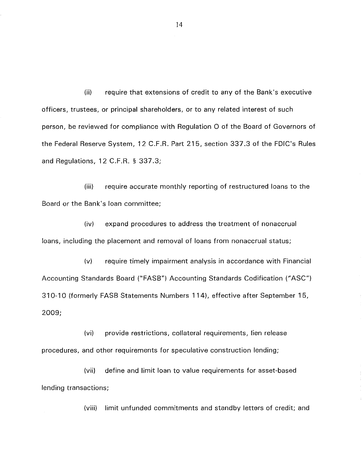(ii) require that extensions of credit to any of the Bank's executive officers, trustees, or principal shareholders, or to any related interest of such person, be reviewed for compliance with Regulation 0 of the Board of Governors of the Federal Reserve System, 12 C.F .R. Part 215, section 337.3 of the FDIC's Rules and Regulations, 12 C.F.R. § 337.3;

(iii) require accurate monthly reporting of restructured loans to the Board or the Bank's loan committee;

(iv) expand procedures to address the treatment of nonaccrual loans, including the placement and removal of loans from nonaccrual status;

(v) require timely impairment analysis in accordance with Financial Accounting Standards Board ("FASB") Accounting Standards Codification ("ASC") 310-10 (formerly FASB Statements Numbers 114), effective after September 15, 2009;

(vi) provide restrictions, collateral requirements, lien release procedures, and other requirements for speculative construction lending;

(vii) define and limit loan to value requirements for asset-based lending transactions;

(viii) limit unfunded commitments and standby letters of credit; and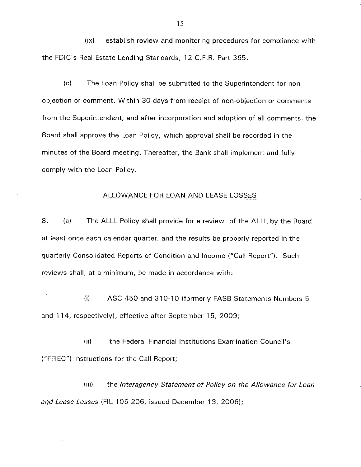(ix) establish review and monitoring procedures for compliance with the FDIC's Real Estate Lending Standards, 12 C.F.R. Part 365.

(c) The Loan Policy shall be submitted to the Superintendent for nonobjection or comment. Within 30 days from receipt of non-objection or comments from the Superintendent, and after incorporation and adoption of all comments, the Board shall approve the Loan Policy, which approval shall be recorded in the minutes of the Board meeting. Thereafter, the Bank shall implement and fully comply with the Loan Policy.

### ALLOWANCE FOR LOAN AND LEASE LOSSES

8. (a) The ALLL Policy shall provide for a review of the ALLL by the Board at least once each calendar quarter, and the results be properly reported in the quarterly Consolidated Reports of Condition and Income ("Call Report"). Such reviews shall, at a minimum, be made in accordance with:

(i) ASC 450 and 310-10 (formerly FASB Statements Numbers 5 and 114, respectively), effective after September 15, 2009;

(ii) the Federal Financial Institutions Examination Council's ("FFIEC") Instructions for the Call Report;

(iii) the Interagency Statement of Policy on the Allowance for Loan and Lease Losses (FIL-105-206, issued December 13, 2006);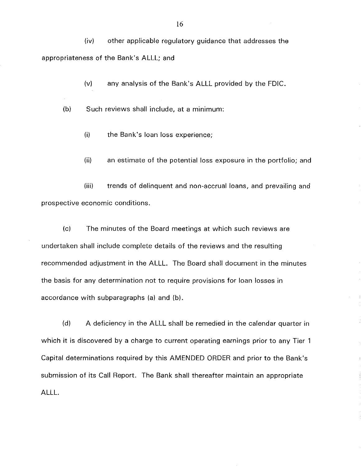(iv) other applicable regulatory guidance that addresses the appropriateness of the Bank's ALLL; and

(v) any analysis of the Bank's ALLL provided by the FDIC.

(b) Such reviews shall include, at a minimum:

- (i) the Bank's loan loss experience;
- (ii) an estimate of the potential loss exposure in the portfolio; and

(iii) trends of delinquent and non-accrual loans, and prevailing and prospective economic conditions.

(c) The minutes of the Board meetings at which such reviews are undertaken shall include complete details of the reviews and the resulting recommended adjustment in the ALLL. The Board shall document in the minutes the basis for any determination not to require provisions for loan losses in accordance with subparagraphs (a) and (b).

(d) A deficiency in the ALLL shall be remedied in the calendar quarter in which it is discovered by a charge to current operating earnings prior to any Tier 1 Capital determinations required by this AMENDED ORDER and prior to the Bank's submission of its Call Report. The Bank shall thereafter maintain an appropriate ALLL.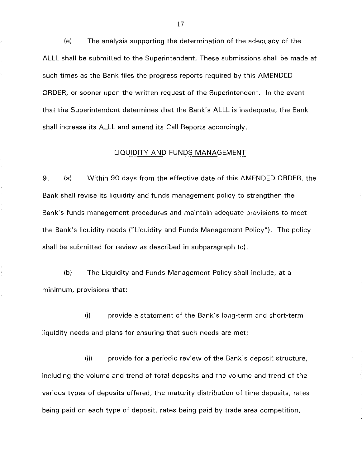(e) The analysis supporting the determination of the adequacy of the ALLL shall be submitted to the Superintendent. These submissions shall be made at such times as the Bank files the progress reports required by this AMENDED ORDER, or sooner upon the written request of the Superintendent. In the event that the Superintendent determines that the Bank's ALLL is inadequate, the Bank shall increase its ALLL and amend its Call Reports accordingly.

# LIQUIDITY AND FUNDS MANAGEMENT

9. (a) Within 90 days from the effective date of this AMENDED ORDER, the Bank shall revise its liquidity and funds management policy to strengthen the Bank's funds management procedures and maintain adequate provisions to meet the Bank's liquidity needs ("Liquidity and Funds Management Policy"). The policy shall be submitted for review as described in subparagraph (c).

(b) The Liquidity and Funds Management Policy shall include, at a minimum, provisions that:

(i) provide a statement of the Bank's long-term and short-term liquidity needs and plans for ensuring that such needs are met;

(ii) provide for a periodic review of the Bank's deposit structure, including the volume and trend of total deposits and the volume and trend of the various types of deposits offered, the maturity distribution of time deposits, rates being paid on each type of deposit, rates being paid by trade area competition,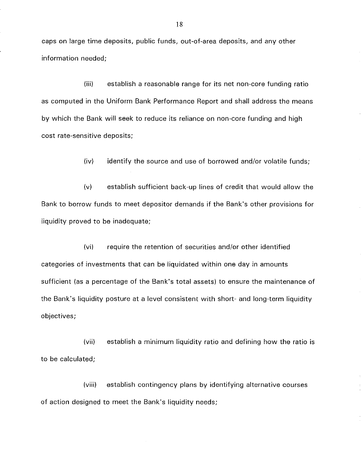caps on large time deposits, public funds, out-of-area deposits, and any other information needed;

(iii) establish a reasonable range for its net non-core funding ratio as computed in the Uniform Bank Performance Report and shall address the means by which the Bank will seek to reduce its reliance on non-core funding and high cost rate-sensitive deposits;

(iv) identify the source and use of borrowed and/or volatile funds;

(v) establish sufficient back-up lines of credit that would allow the Bank to borrow funds to meet depositor demands if the Bank's other provisions for liquidity proved to be inadequate;

(vi) require the retention of securities and/or other identified categories of investments that can be liquidated within one day in amounts sufficient (as a percentage of the Bank's total assets) to ensure the maintenance of the Bank's liquidity posture at a level consistent with short- and long-term liquidity objectives;

(vii) establish a minimum liquidity ratio and defining how the ratio is to be calculated;

(viii) establish contingency plans by identifying alternative courses of action designed to meet the Bank's liquidity needs;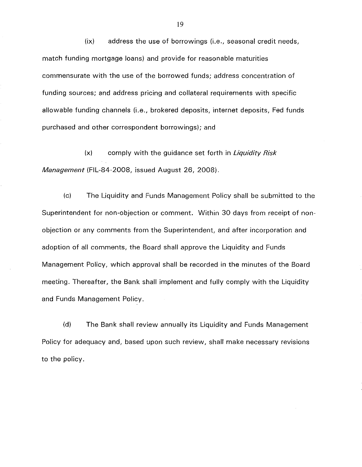(ix) address the use of borrowings (i.e., seasonal credit needs, match funding mortgage loans) and provide for reasonable maturities commensurate with the use of the borrowed funds; address concentration of funding sources; and address pricing and collateral requirements with specific allowable funding channels (i.e., brokered deposits, internet deposits, Fed funds purchased and other correspondent borrowings); and

(x) comply with the guidance set forth in *Liquidity Risk*  Management (FIL-84-2008, issued August 26, 2008).

(c) The Liquidity and Funds Management Policy shall be submitted to the Superintendent for non-objection or comment. Within 30 days from receipt of nonobjection or any comments from the Superintendent, and after incorporation and adoption of all comments, the Board shall approve the Liquidity and Funds Management Policy, which approval shall be recorded in the minutes of the Board meeting. Thereafter, the Bank shall implement and fully comply with the Liquidity and Funds Management Policy.

(d) The Bank shall review annually its Liquidity and Funds Management Policy for adequacy and, based upon such review, shall make necessary revisions to the policy.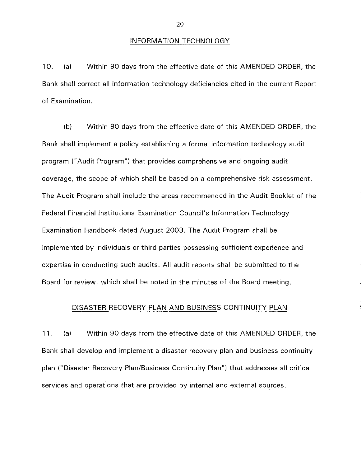### INFORMATION TECHNOLOGY

10. (a) Within 90 days from the effective date of this AMENDED ORDER, the Bank shall correct all information technology deficiencies cited in the current Report of Examination.

(b) Within 90 days from the effective date of this AMENDED ORDER, the Bank shall implement a policy establishing a formal information technology audit program ("Audit Program") that provides comprehensive and ongoing audit coverage, the scope of which shall be based on a comprehensive risk assessment. The Audit Program shall include the areas recommended in the Audit Booklet of the Federal Financial Institutions Examination Council's Information Technology Examination Handbook dated August 2003. The Audit Program shall be implemented by individuals or third parties possessing sufficient experience and expertise in conducting such audits. All audit reports shall be submitted to the Board for review, which shall be noted in the minutes of the Board meeting.

### DISASTER RECOVERY PLAN AND BUSINESS CONTINUITY PLAN

11. (a) Within 90 days from the effective date of this AMENDED ORDER, the Bank shall develop and implement a disaster recovery plan and business continuity plan ("Disaster Recovery Plan/Business Continuity Plan") that addresses all critical services and operations that are provided by internal and external sources.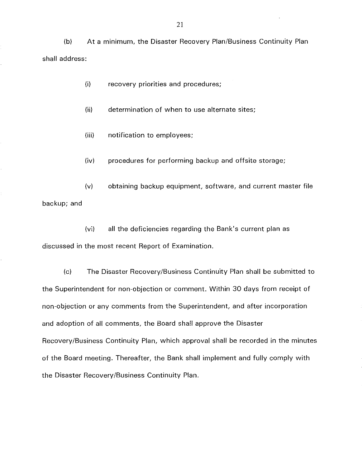(b) At a minimum, the Disaster Recovery Plan/Business Continuity Plan shall address:

(i) recovery priorities and procedures;

(ii) determination of when to use alternate sites;

- (iii) notification to employees;
- (iv) procedures for performing backup and offsite storage;

(v) obtaining backup equipment, software, and current master file backup; and

(vi) all the deficiencies regarding the Bank's current plan as discussed in the most recent Report of Examination.

(c) The Disaster Recovery/Business Continuity Plan shall be submitted to the Superintendent for non-objection or comment. Within 30 days from receipt of non-objection or any comments from the Superintendent, and after incorporation and adoption of all comments, the Board shall approve the Disaster Recovery/Business Continuity Plan, which approval shall be recorded in the minutes of the Board meeting. Thereafter, the Bank shall implement and fully comply with the Disaster Recovery/Business Continuity Plan.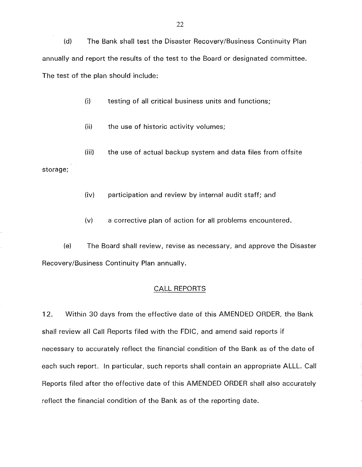(d) The Bank shall test the Disaster Recovery/Business Continuity Plan annually and report the results of the test to the Board or designated committee. The test of the plan should include:

(i) testing of all critical business units and functions;

(ii) the use of historic activity volumes;

(iii) the use of actual backup system and data files from offsite

storage;

(iv) participation and review by internal audit staff; and

(v) a corrective plan of action for all problems encountered.

(e) The Board shall review, revise as necessary, and approve the Disaster Recovery/Business Continuity Plan annually.

#### CALL REPORTS

12. Within 30 days from the effective date of this AMENDED ORDER, the Bank shall review all Call Reports filed with the FDIC, and amend said reports if necessary to accurately reflect the financial condition of the Bank as of the date of each such report. In particular, such reports shall contain an appropriate ALLL. Call Reports filed after the effective date of this AMENDED ORDER shall also accurately reflect the financial condition of the Bank as of the reporting date.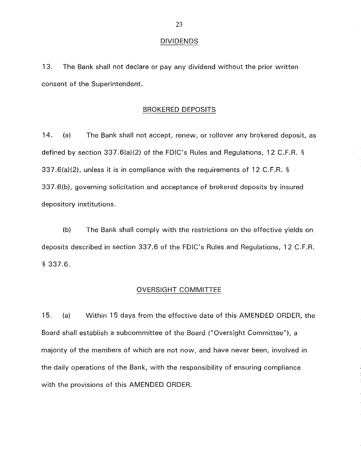#### DIVIDENDS

13. The Bank shall not declare or pay any dividend without the prior written consent of the Superintendent.

### BROKERED DEPOSITS

14. (a) The Bank shall not accept, renew, or rollover any brokered deposit, as defined by section 337.6(a)(2) of the FDIC's Rules and Regulations, 12 C.F.R. § 337 .6(a)(2), unless it is in compliance with the requirements of 12 C.F.R. § 337 .6(b), governing solicitation and acceptance of brokered deposits by insured depository institutions.

(b) The Bank shall comply with the restrictions on the effective yields on deposits described in section 337.6 of the FDIC's Rules and Regulations, 12 C.F.R. § 337.6.

## OVERSIGHT COMMITTEE

15. (a) Within 15 days from the effective date of this AMENDED ORDER, the Board shall establish a subcommittee of the Board ("Oversight Committee"), a majority of the members of which are not now, and have never been, involved in the daily operations of the Bank, with the responsibility of ensuring compliance with the provisions of this AMENDED ORDER.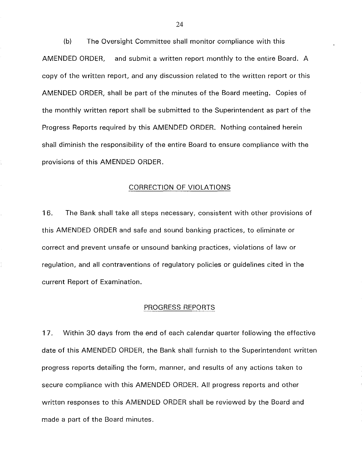(b) The Oversight Committee shall monitor compliance with this AMENDED ORDER, and submit a written report monthly to the entire Board. A copy of the written report, and any discussion related to the written report or this AMENDED ORDER, shall be part of the minutes of the Board meeting. Copies of the monthly written report shall be submitted to the Superintendent as part of the Progress Reports required by this AMENDED ORDER. Nothing contained herein shall diminish the responsibility of the entire Board to ensure compliance with the provisions of this AMENDED ORDER.

## CORRECTION OF VIOLATIONS

16. The Bank shall take all steps necessary, consistent with other provisions of this AMENDED ORDER and safe and sound banking practices, to eliminate or correct and prevent unsafe or unsound banking practices, violations of law or regulation, and all contraventions of regulatory policies or guidelines cited in the current Report of Examination.

#### PROGRESS REPORTS

17. Within 30 days from the end of each calendar quarter following the effective date of this AMENDED ORDER, the Bank shall furnish to the Superintendent written progress reports detailing the form, manner, and results of any actions taken to secure compliance with this AMENDED ORDER. All progress reports and other written responses to this AMENDED ORDER shall be reviewed by the Board and made a part of the Board minutes.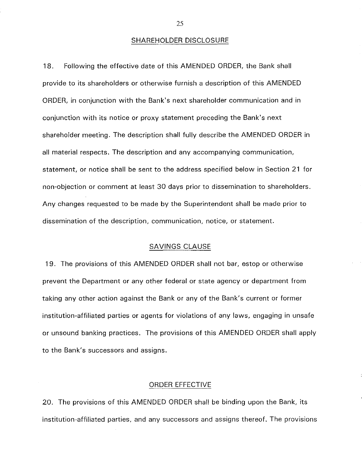#### SHAREHOLDER DISCLOSURE

18. Following the effective date of this AMENDED ORDER, the Bank shall provide to its shareholders or otherwise furnish a description of this AMENDED ORDER, in conjunction with the Bank's next shareholder communication and in conjunction with its notice or proxy statement preceding the Bank's next shareholder meeting. The description shall fully describe the AMENDED ORDER in all material respects. The description and any accompanying communication, statement, or notice shall be sent to the address specified below in Section 21 for non-objection or comment at least 30 days prior to dissemination to shareholders. Any changes requested to be made by the Superintendent shall be made prior to dissemination of the description, communication, notice, or statement.

### SAVINGS CLAUSE

19. The provisions of this AMENDED ORDER shall not bar, estop or otherwise prevent the Department or any other federal or state agency or department from taking any other action against the Bank or any of the Bank's current or former institution-affiliated parties or agents for violations of any laws, engaging in unsafe or unsound banking practices. The provisions of this AMENDED ORDER shall apply to the Bank's successors and assigns.

## ORDER EFFECTIVE

20. The provisions of this AMENDED ORDER shall be binding upon the Bank, its institution-affiliated parties, and any successors and assigns thereof. The provisions